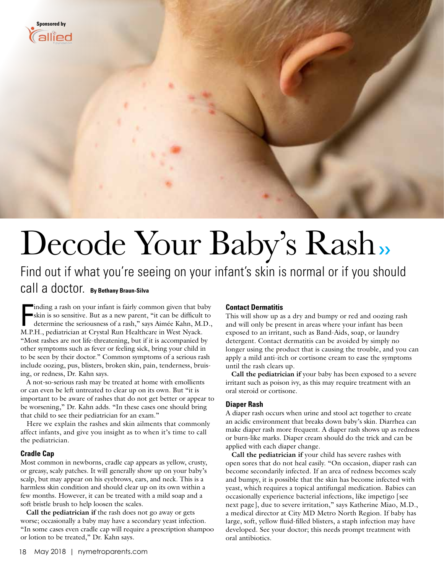

# Decode Your Baby's Rash»

## Find out if what you're seeing on your infant's skin is normal or if you should call a doctor. **By Bethany Braun-Silva**

Inding a rash on your infant is fairly common given that baskin is so sensitive. But as a new parent, "it can be difficult determine the seriousness of a rash," says Aimée Kahn, M.I. M.P.H., pediatrician at Crystal Run Hea inding a rash on your infant is fairly common given that baby skin is so sensitive. But as a new parent, "it can be difficult to determine the seriousness of a rash," says Aimée Kahn, M.D., "Most rashes are not life-threatening, but if it is accompanied by other symptoms such as fever or feeling sick, bring your child in to be seen by their doctor." Common symptoms of a serious rash include oozing, pus, blisters, broken skin, pain, tenderness, bruising, or redness, Dr. Kahn says.

 A not-so-serious rash may be treated at home with emollients or can even be left untreated to clear up on its own. But "it is important to be aware of rashes that do not get better or appear to be worsening," Dr. Kahn adds. "In these cases one should bring that child to see their pediatrician for an exam."

 Here we explain the rashes and skin ailments that commonly affect infants, and give you insight as to when it's time to call the pediatrician.

#### **Cradle Cap**

Most common in newborns, cradle cap appears as yellow, crusty, or greasy, scaly patches. It will generally show up on your baby's scalp, but may appear on his eyebrows, ears, and neck. This is a harmless skin condition and should clear up on its own within a few months. However, it can be treated with a mild soap and a soft bristle brush to help loosen the scales.

 **Call the pediatrician if** the rash does not go away or gets worse; occasionally a baby may have a secondary yeast infection. "In some cases even cradle cap will require a prescription shampoo or lotion to be treated," Dr. Kahn says.

#### **Contact Dermatitis**

This will show up as a dry and bumpy or red and oozing rash and will only be present in areas where your infant has been exposed to an irritant, such as Band-Aids, soap, or laundry detergent. Contact dermatitis can be avoided by simply no longer using the product that is causing the trouble, and you can apply a mild anti-itch or cortisone cream to ease the symptoms until the rash clears up.

 **Call the pediatrician if** your baby has been exposed to a severe irritant such as poison ivy, as this may require treatment with an oral steroid or cortisone.

#### **Diaper Rash**

A diaper rash occurs when urine and stool act together to create an acidic environment that breaks down baby's skin. Diarrhea can make diaper rash more frequent. A diaper rash shows up as redness or burn-like marks. Diaper cream should do the trick and can be applied with each diaper change.

 **Call the pediatrician if** your child has severe rashes with open sores that do not heal easily. "On occasion, diaper rash can become secondarily infected. If an area of redness becomes scaly and bumpy, it is possible that the skin has become infected with yeast, which requires a topical antifungal medication. Babies can occasionally experience bacterial infections, like impetigo [see next page], due to severe irritation," says Katherine Miao, M.D., a medical director at City MD Metro North Region. If baby has large, soft, yellow fluid-filled blisters, a staph infection may have developed. See your doctor; this needs prompt treatment with oral antibiotics.